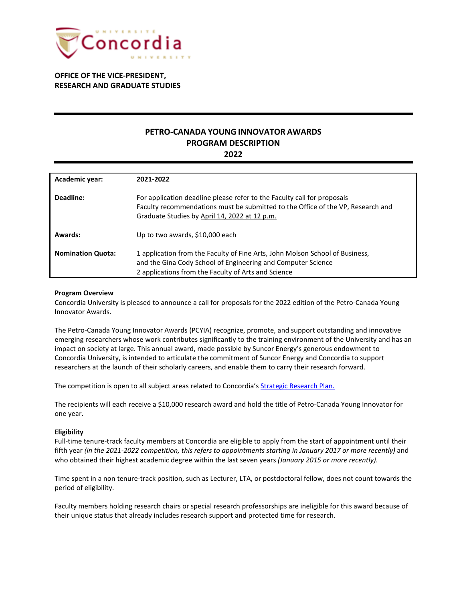

**OFFICE OF THE VICE-PRESIDENT, RESEARCH AND GRADUATE STUDIES**

# **PETRO-CANADA YOUNG INNOVATOR AWARDS PROGRAM DESCRIPTION**

**2022**

| <b>Academic year:</b>    | 2021-2022                                                                                                                                                                                                   |
|--------------------------|-------------------------------------------------------------------------------------------------------------------------------------------------------------------------------------------------------------|
| Deadline:                | For application deadline please refer to the Faculty call for proposals<br>Faculty recommendations must be submitted to the Office of the VP, Research and<br>Graduate Studies by April 14, 2022 at 12 p.m. |
| Awards:                  | Up to two awards, \$10,000 each                                                                                                                                                                             |
| <b>Nomination Quota:</b> | 1 application from the Faculty of Fine Arts, John Molson School of Business,<br>and the Gina Cody School of Engineering and Computer Science<br>2 applications from the Faculty of Arts and Science         |

#### **Program Overview**

Concordia University is pleased to announce a call for proposals for the 2022 edition of the Petro-Canada Young Innovator Awards.

The Petro-Canada Young Innovator Awards (PCYIA) recognize, promote, and support outstanding and innovative emerging researchers whose work contributes significantly to the training environment of the University and has an impact on society at large. This annual award, made possible by Suncor Energy's generous endowment to Concordia University, is intended to articulate the commitment of Suncor Energy and Concordia to support researchers at the launch of their scholarly careers, and enable them to carry their research forward.

The competition is open to all subject areas related to Concordia's [Strategic Research Plan.](https://www.concordia.ca/research/strategic-research-plan.html)

The recipients will each receive a \$10,000 research award and hold the title of Petro-Canada Young Innovator for one year.

#### **Eligibility**

Full-time tenure-track faculty members at Concordia are eligible to apply from the start of appointment until their fifth year *(in the 2021-2022 competition, this refers to appointments starting in January 2017 or more recently)* and who obtained their highest academic degree within the last seven years *(January 2015 or more recently)*.

Time spent in a non tenure-track position, such as Lecturer, LTA, or postdoctoral fellow, does not count towards the period of eligibility.

Faculty members holding research chairs or special research professorships are ineligible for this award because of their unique status that already includes research support and protected time for research.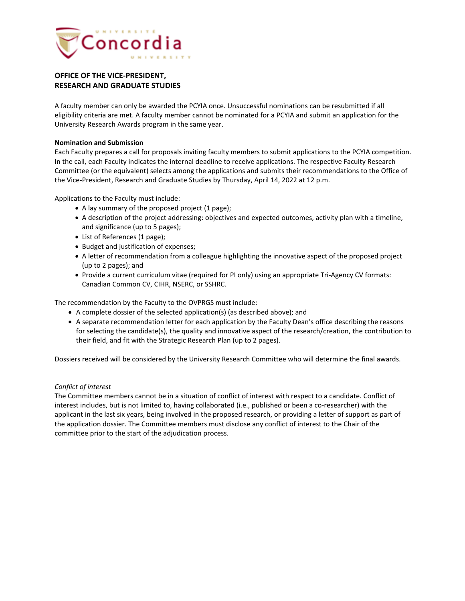

# **OFFICE OF THE VICE-PRESIDENT, RESEARCH AND GRADUATE STUDIES**

A faculty member can only be awarded the PCYIA once. Unsuccessful nominations can be resubmitted if all eligibility criteria are met. A faculty member cannot be nominated for a PCYIA and submit an application for the University Research Awards program in the same year.

## **Nomination and Submission**

Each Faculty prepares a call for proposals inviting faculty members to submit applications to the PCYIA competition. In the call, each Faculty indicates the internal deadline to receive applications. The respective Faculty Research Committee (or the equivalent) selects among the applications and submits their recommendations to the Office of the Vice-President, Research and Graduate Studies by Thursday, April 14, 2022 at 12 p.m.

Applications to the Faculty must include:

- A lay summary of the proposed project (1 page);
- A description of the project addressing: objectives and expected outcomes, activity plan with a timeline, and significance (up to 5 pages);
- List of References (1 page);
- Budget and justification of expenses;
- A letter of recommendation from a colleague highlighting the innovative aspect of the proposed project (up to 2 pages); and
- Provide a current curriculum vitae (required for PI only) using an appropriate Tri-Agency CV formats: Canadian Common CV, CIHR, NSERC, or SSHRC.

The recommendation by the Faculty to the OVPRGS must include:

- A complete dossier of the selected application(s) (as described above); and
- A separate recommendation letter for each application by the Faculty Dean's office describing the reasons for selecting the candidate(s), the quality and innovative aspect of the research/creation, the contribution to their field, and fit with the Strategic Research Plan (up to 2 pages).

Dossiers received will be considered by the University Research Committee who will determine the final awards.

#### *Conflict of interest*

The Committee members cannot be in a situation of conflict of interest with respect to a candidate. Conflict of interest includes, but is not limited to, having collaborated (i.e., published or been a co-researcher) with the applicant in the last six years, being involved in the proposed research, or providing a letter of support as part of the application dossier. The Committee members must disclose any conflict of interest to the Chair of the committee prior to the start of the adjudication process.